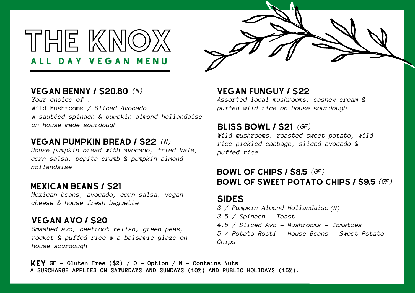A L L D A Y V E G A N M E N U THE KNOX



# vegan benny / \$20.80 *(N)*

*Your choice of..* Wild Mushrooms */ Sliced Avocado* w *sautéed spinach & pumpkin almond hollandaise on house made sourdough*

# VEGAN pumpkin bread / \$22 *(N)*

*House pumpkin bread with avocado, fried kale, corn salsa, pepita crumb & pumpkin almond hollandaise*

# MEXICAN BEANS / \$21

*Mexican beans, avocado, corn salsa, vegan cheese & house fresh baguette*

# VEGAN avo / \$20

*Smashed avo, beetroot relish, green peas, rocket & puffed rice w a balsamic glaze on house sourdough*

VEGAN funguy / \$22

*Assorted local mushrooms, cashew cream & puffed wild rice on house sourdough*

# bliss bowl / \$21 *(GF)*

*Wild mushrooms, roasted sweet potato, wild rice pickled cabbage, sliced avocado & puffed rice*

# bowl of chips / \$8.5 *(GF)* bowl of sweet potato chips / \$9.5 *(GF)*

# **SIDES**

- *3 / Pumpkin Almond Hollandaise (N)*
- *3.5 / Spinach - Toast*
- *4.5 / Sliced Avo - Mushrooms - Tomatoes*
- *5 / Potato Rosti - House Beans - Sweet Potato Chips*

key **GF - Gluten Free (\$2) / O - Option / N - Contains Nuts A SURCHARGE APPLIES ON SATURDAYS AND SUNDAYS (10%) AND PUBLIC HOLIDAYS (15%).**